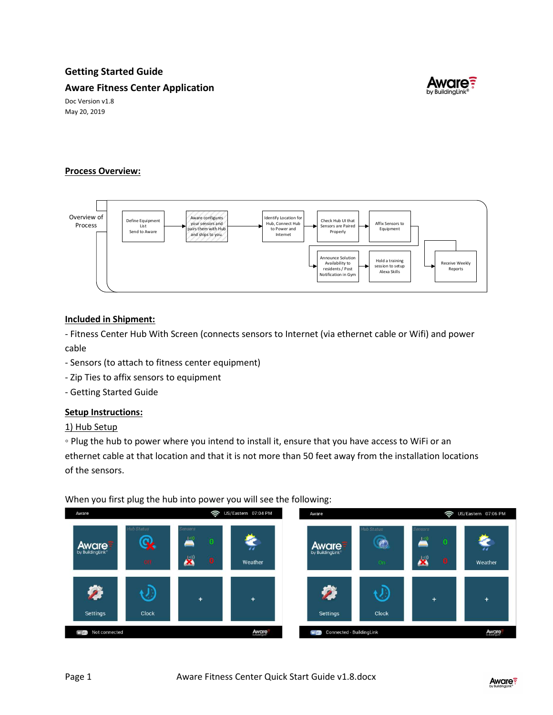# Getting Started Guide

## Aware Fitness Center Application



Doc Version v1.8 May 20, 2019

# Process Overview:



## Included in Shipment:

- Fitness Center Hub With Screen (connects sensors to Internet (via ethernet cable or Wifi) and power cable

- Sensors (to attach to fitness center equipment)
- Zip Ties to affix sensors to equipment
- Getting Started Guide

#### Setup Instructions:

1) Hub Setup

◦ Plug the hub to power where you intend to install it, ensure that you have access to WiFi or an ethernet cable at that location and that it is not more than 50 feet away from the installation locations of the sensors.

#### When you first plug the hub into power you will see the following: